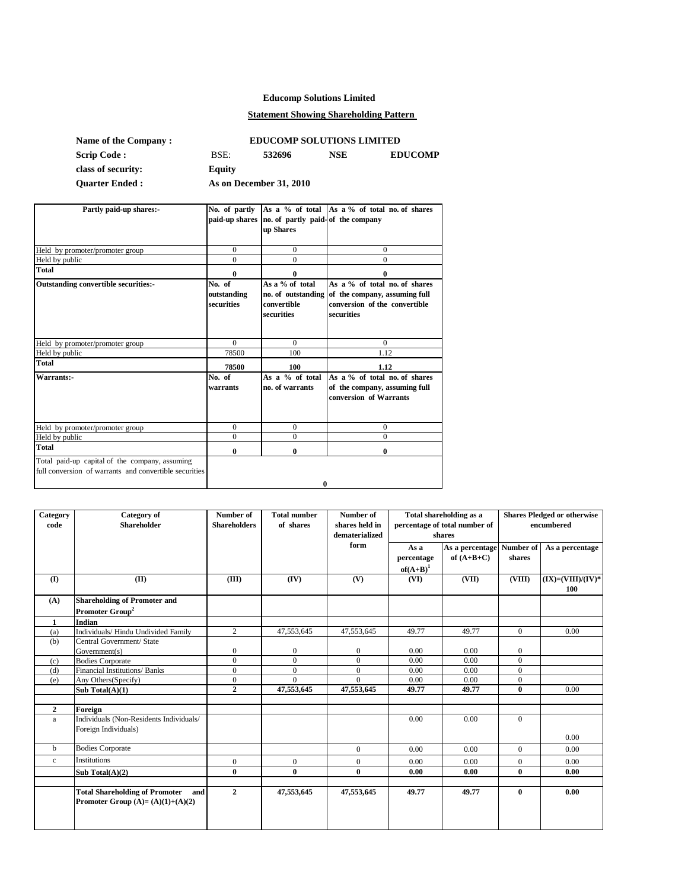# **Educomp Solutions Limited**

## **Statement Showing Shareholding Pattern**

| <b>Name of the Company:</b> | <b>EDUCOMP SOLUTIONS LIMITED</b> |                         |     |                |  |  |
|-----------------------------|----------------------------------|-------------------------|-----|----------------|--|--|
| <b>Scrip Code :</b>         | BSE:                             | 532696                  | NSE | <b>EDUCOMP</b> |  |  |
| class of security:          | Equity                           |                         |     |                |  |  |
| <b>Ouarter Ended:</b>       |                                  | As on December 31, 2010 |     |                |  |  |

| Partly paid-up shares:-                                                                                  |                                     | paid-up shares no. of partly paid-of the company<br>up Shares      | No. of partly As a % of total As a % of total no. of shares                                                   |
|----------------------------------------------------------------------------------------------------------|-------------------------------------|--------------------------------------------------------------------|---------------------------------------------------------------------------------------------------------------|
| Held by promoter/promoter group                                                                          | $\Omega$                            | $\Omega$                                                           | $\mathbf{0}$                                                                                                  |
| Held by public                                                                                           | $\Omega$                            | $\Omega$                                                           | $\Omega$                                                                                                      |
| Total                                                                                                    | 0                                   | 0                                                                  | 0                                                                                                             |
| <b>Outstanding convertible securities:-</b>                                                              | No. of<br>outstanding<br>securities | As a % of total<br>no. of outstanding<br>convertible<br>securities | As a % of total no. of shares<br>of the company, assuming full<br>conversion of the convertible<br>securities |
| Held by promoter/promoter group                                                                          | $\Omega$                            | $\Omega$                                                           | $\Omega$                                                                                                      |
| Held by public                                                                                           | 78500                               | 100                                                                | 1.12                                                                                                          |
| Total                                                                                                    | 78500                               | 100                                                                | 1.12                                                                                                          |
| Warrants:-                                                                                               | No. of<br>warrants                  | As a $%$ of total<br>no. of warrants                               | As a % of total no. of shares<br>of the company, assuming full<br>conversion of Warrants                      |
| Held by promoter/promoter group                                                                          | $\theta$                            | $\mathbf{0}$                                                       | $\mathbf{0}$                                                                                                  |
| Held by public                                                                                           | $\Omega$                            | $\Omega$                                                           | $\Omega$                                                                                                      |
| Total                                                                                                    | $\mathbf{0}$                        | 0                                                                  | $\mathbf{0}$                                                                                                  |
| Total paid-up capital of the company, assuming<br>full conversion of warrants and convertible securities |                                     | 0                                                                  |                                                                                                               |

| Category<br>code | <b>Category</b> of<br><b>Shareholder</b>                                           | Number of<br><b>Shareholders</b> | <b>Total number</b><br>of shares | Number of<br>shares held in<br>dematerialized | Total shareholding as a<br>percentage of total number of<br>shares |                                 | <b>Shares Pledged or otherwise</b><br>encumbered |                             |
|------------------|------------------------------------------------------------------------------------|----------------------------------|----------------------------------|-----------------------------------------------|--------------------------------------------------------------------|---------------------------------|--------------------------------------------------|-----------------------------|
|                  |                                                                                    |                                  |                                  | form                                          | As a<br>percentage<br>$of(A+B)^1$                                  | As a percentage<br>of $(A+B+C)$ | Number of<br>shares                              | As a percentage             |
| $\mathbf{I}$     | (II)                                                                               | (III)                            | (IV)                             | (V)                                           | (VI)                                                               | (VII)                           | (VIII)                                           | $(IX)=(VIII)/(IV)^*$<br>100 |
| (A)              | <b>Shareholding of Promoter and</b>                                                |                                  |                                  |                                               |                                                                    |                                 |                                                  |                             |
|                  | Promoter Group <sup>2</sup>                                                        |                                  |                                  |                                               |                                                                    |                                 |                                                  |                             |
| $\mathbf{1}$     | Indian                                                                             |                                  |                                  |                                               |                                                                    |                                 |                                                  |                             |
| (a)              | Individuals/ Hindu Undivided Family                                                | $\overline{2}$                   | 47,553,645                       | 47,553,645                                    | 49.77                                                              | 49.77                           | $\Omega$                                         | 0.00                        |
| (b)              | Central Government/ State                                                          |                                  |                                  |                                               |                                                                    |                                 |                                                  |                             |
|                  | Government(s)                                                                      | $\overline{0}$                   | $\bf{0}$                         | $\mathbf{0}$                                  | 0.00                                                               | 0.00                            | $\Omega$                                         |                             |
| (c)              | <b>Bodies Corporate</b>                                                            | $\overline{0}$                   | $\mathbf{0}$                     | $\theta$                                      | 0.00                                                               | 0.00                            | $\Omega$                                         |                             |
| (d)              | Financial Institutions/ Banks                                                      | $\Omega$                         | $\mathbf{0}$                     | $\theta$                                      | 0.00                                                               | 0.00                            | $\Omega$                                         |                             |
| (e)              | Any Others(Specify)                                                                | $\overline{0}$                   | $\overline{0}$                   | $\theta$                                      | 0.00                                                               | 0.00                            | $\overline{0}$                                   |                             |
|                  | Sub Total $(A)(1)$                                                                 | $\mathbf{2}$                     | 47,553,645                       | 47,553,645                                    | 49.77                                                              | 49.77                           | $\bf{0}$                                         | 0.00                        |
| $\mathbf{2}$     | Foreign                                                                            |                                  |                                  |                                               |                                                                    |                                 |                                                  |                             |
| a                | Individuals (Non-Residents Individuals/<br>Foreign Individuals)                    |                                  |                                  |                                               | 0.00                                                               | 0.00                            | $\overline{0}$                                   | 0.00                        |
| $\mathbf b$      | <b>Bodies Corporate</b>                                                            |                                  |                                  | $\mathbf{0}$                                  | 0.00                                                               | 0.00                            | $\Omega$                                         | 0.00                        |
| $\mathbf{c}$     | Institutions                                                                       | $\overline{0}$                   | $\mathbf{0}$                     | $\mathbf{0}$                                  | 0.00                                                               | 0.00                            | $\overline{0}$                                   | 0.00                        |
|                  | Sub Total $(A)(2)$                                                                 | $\bf{0}$                         | $\bf{0}$                         | $\bf{0}$                                      | 0.00                                                               | 0.00                            | $\bf{0}$                                         | 0.00                        |
|                  |                                                                                    |                                  |                                  |                                               |                                                                    |                                 |                                                  |                             |
|                  | <b>Total Shareholding of Promoter</b><br>and<br>Promoter Group $(A)=(A)(1)+(A)(2)$ | $\overline{2}$                   | 47,553,645                       | 47,553,645                                    | 49.77                                                              | 49.77                           | $\bf{0}$                                         | 0.00                        |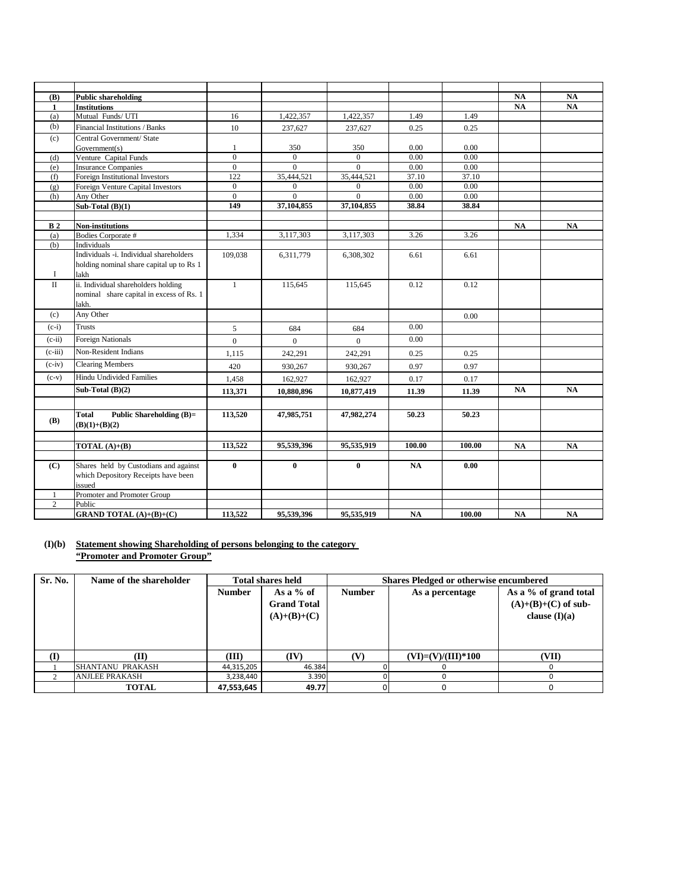| (B)            | <b>Public shareholding</b>                    |                     |                              |                              |               |               | <b>NA</b> | <b>NA</b> |
|----------------|-----------------------------------------------|---------------------|------------------------------|------------------------------|---------------|---------------|-----------|-----------|
| $\mathbf{1}$   | <b>Institutions</b>                           |                     |                              |                              |               |               | NA        | NA        |
| (a)            | Mutual Funds/UTI                              | 16                  | 1,422,357                    | 1,422,357                    | 1.49          | 1.49          |           |           |
| (b)            | Financial Institutions / Banks                | 10                  | 237,627                      | 237,627                      | 0.25          | 0.25          |           |           |
| (c)            | Central Government/ State                     |                     |                              |                              |               |               |           |           |
|                | Government(s)                                 | $\mathbf{1}$        | 350                          | 350                          | 0.00          | 0.00          |           |           |
| (d)            | Venture Capital Funds                         | $\overline{0}$      | $\mathbf{0}$                 | $\mathbf{0}$                 | 0.00          | 0.00          |           |           |
| (e)            | <b>Insurance Companies</b>                    | $\boldsymbol{0}$    | $\overline{0}$               | $\overline{0}$               | 0.00          | 0.00          |           |           |
| (f)            | Foreign Institutional Investors               | 122<br>$\mathbf{0}$ | 35,444,521                   | 35,444,521                   | 37.10<br>0.00 | 37.10<br>0.00 |           |           |
| (g)            | Foreign Venture Capital Investors             | $\overline{0}$      | $\boldsymbol{0}$<br>$\Omega$ | $\boldsymbol{0}$<br>$\Omega$ | 0.00          | 0.00          |           |           |
| (h)            | Any Other<br>Sub-Total $(B)(1)$               | 149                 | 37,104,855                   | 37,104,855                   | 38.84         | 38.84         |           |           |
|                |                                               |                     |                              |                              |               |               |           |           |
| B <sub>2</sub> | <b>Non-institutions</b>                       |                     |                              |                              |               |               | <b>NA</b> | <b>NA</b> |
| (a)            | Bodies Corporate #                            | 1,334               | 3,117,303                    | 3,117,303                    | 3.26          | 3.26          |           |           |
| (b)            | Individuals                                   |                     |                              |                              |               |               |           |           |
|                | Individuals -i. Individual shareholders       | 109,038             | 6,311,779                    | 6,308,302                    | 6.61          | 6.61          |           |           |
|                | holding nominal share capital up to Rs 1      |                     |                              |                              |               |               |           |           |
| 1              | lakh                                          |                     |                              |                              |               |               |           |           |
| $\mathbf{I}$   | ii. Individual shareholders holding           | $\mathbf{1}$        | 115,645                      | 115,645                      | 0.12          | 0.12          |           |           |
|                | nominal share capital in excess of Rs. 1      |                     |                              |                              |               |               |           |           |
|                | lakh.                                         |                     |                              |                              |               |               |           |           |
| (c)            | Any Other                                     |                     |                              |                              |               | 0.00          |           |           |
| $(c-i)$        | <b>Trusts</b>                                 | 5                   | 684                          | 684                          | 0.00          |               |           |           |
| $(c-ii)$       | <b>Foreign Nationals</b>                      | $\overline{0}$      | $\mathbf{0}$                 | $\mathbf{0}$                 | 0.00          |               |           |           |
| $(c-iii)$      | Non-Resident Indians                          | 1,115               | 242,291                      | 242,291                      | 0.25          | 0.25          |           |           |
| $(c-iv)$       | <b>Clearing Members</b>                       | 420                 | 930,267                      | 930.267                      | 0.97          | 0.97          |           |           |
| $(c-v)$        | Hindu Undivided Families                      | 1,458               | 162,927                      | 162,927                      | 0.17          | 0.17          |           |           |
|                | Sub-Total $(B)(2)$                            | 113,371             | 10,880,896                   | 10,877,419                   | 11.39         | 11.39         | <b>NA</b> | <b>NA</b> |
|                |                                               |                     |                              |                              |               |               |           |           |
| <b>(B)</b>     | <b>Total</b><br>Public Shareholding (B)=      | 113,520             | 47,985,751                   | 47,982,274                   | 50.23         | 50.23         |           |           |
|                | $(B)(1)+(B)(2)$                               |                     |                              |                              |               |               |           |           |
|                |                                               |                     |                              |                              |               |               |           |           |
|                | <b>TOTAL</b> $(A)+(B)$                        | 113,522             | 95,539,396                   | 95,535,919                   | 100.00        | 100.00        | <b>NA</b> | <b>NA</b> |
|                |                                               |                     |                              |                              |               |               |           |           |
| (C)            | Shares held by Custodians and against         | $\bf{0}$            | $\bf{0}$                     | $\bf{0}$                     | NA            | 0.00          |           |           |
|                | which Depository Receipts have been<br>issued |                     |                              |                              |               |               |           |           |
| 1              | Promoter and Promoter Group                   |                     |                              |                              |               |               |           |           |
| $\overline{2}$ | Public                                        |                     |                              |                              |               |               |           |           |
|                | <b>GRAND TOTAL</b> (A)+(B)+(C)                | 113,522             | 95,539,396                   | 95,535,919                   | <b>NA</b>     | 100.00        | NA        | <b>NA</b> |
|                |                                               |                     |                              |                              |               |               |           |           |

### **(I)(b) Statement showing Shareholding of persons belonging to the category "Promoter and Promoter Group"**

| Sr. No.      | Name of the shareholder |               | <b>Total shares held</b>                           | <b>Shares Pledged or otherwise encumbered</b> |                      |                                                                   |  |
|--------------|-------------------------|---------------|----------------------------------------------------|-----------------------------------------------|----------------------|-------------------------------------------------------------------|--|
|              |                         | <b>Number</b> | As a $%$ of<br><b>Grand Total</b><br>$(A)+(B)+(C)$ | <b>Number</b>                                 | As a percentage      | As a % of grand total<br>$(A)+(B)+(C)$ of sub-<br>clause $(I)(a)$ |  |
| $\mathbf{I}$ | M                       | (III)         | (IV)                                               | (V)                                           | $(VI)=(V)/(III)*100$ | (VII)                                                             |  |
|              | SHANTANU PRAKASH        | 44,315,205    | 46.384                                             |                                               |                      |                                                                   |  |
|              | <b>ANJLEE PRAKASH</b>   | 3,238,440     | 3.390                                              |                                               |                      |                                                                   |  |
|              | <b>TOTAL</b>            | 47,553,645    | 49.77                                              |                                               |                      |                                                                   |  |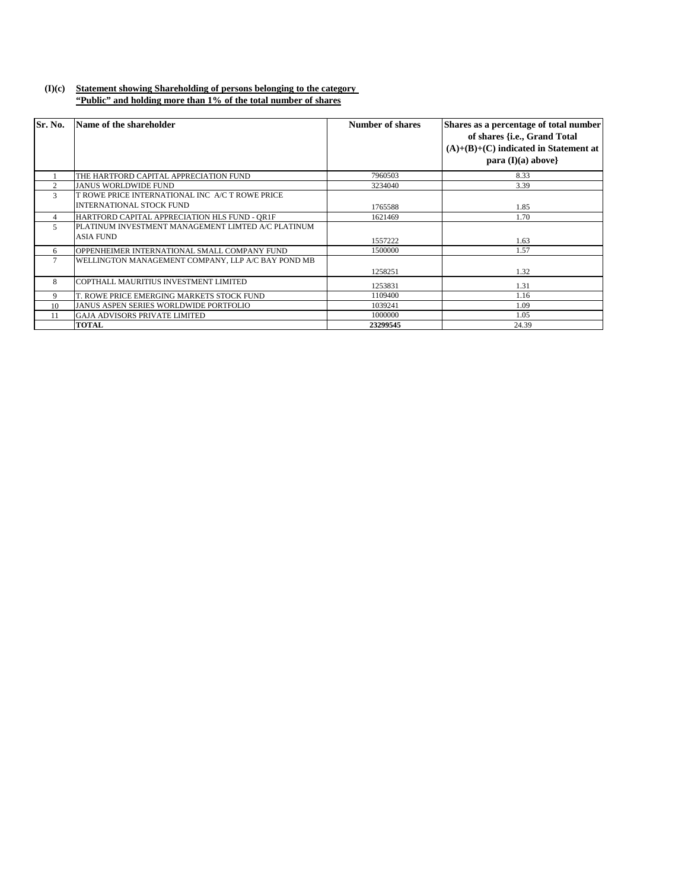## **(I)(c) Statement showing Shareholding of persons belonging to the category "Public" and holding more than 1% of the total number of shares**

| Sr. No.        | Name of the shareholder                                                            | <b>Number of shares</b> | Shares as a percentage of total number<br>of shares {i.e., Grand Total<br>$(A)+(B)+(C)$ indicated in Statement at<br>para $(I)(a)$ above |
|----------------|------------------------------------------------------------------------------------|-------------------------|------------------------------------------------------------------------------------------------------------------------------------------|
|                | THE HARTFORD CAPITAL APPRECIATION FUND                                             | 7960503                 | 8.33                                                                                                                                     |
| $\mathfrak{D}$ | <b>JANUS WORLDWIDE FUND</b>                                                        | 3234040                 | 3.39                                                                                                                                     |
| 3              | T ROWE PRICE INTERNATIONAL INC A/C T ROWE PRICE<br><b>INTERNATIONAL STOCK FUND</b> | 1765588                 | 1.85                                                                                                                                     |
| 4              | HARTFORD CAPITAL APPRECIATION HLS FUND - QR1F                                      | 1621469                 | 1.70                                                                                                                                     |
| 5              | PLATINUM INVESTMENT MANAGEMENT LIMTED A/C PLATINUM<br>ASIA FUND                    | 1557222                 | 1.63                                                                                                                                     |
| 6              | OPPENHEIMER INTERNATIONAL SMALL COMPANY FUND                                       | 1500000                 | 1.57                                                                                                                                     |
|                | WELLINGTON MANAGEMENT COMPANY, LLP A/C BAY POND MB                                 | 1258251                 | 1.32                                                                                                                                     |
| 8              | COPTHALL MAURITIUS INVESTMENT LIMITED                                              | 1253831                 | 1.31                                                                                                                                     |
| 9              | T. ROWE PRICE EMERGING MARKETS STOCK FUND                                          | 1109400                 | 1.16                                                                                                                                     |
| 10             | <b>JANUS ASPEN SERIES WORLDWIDE PORTFOLIO</b>                                      | 1039241                 | 1.09                                                                                                                                     |
| 11             | <b>GAJA ADVISORS PRIVATE LIMITED</b>                                               | 1000000                 | 1.05                                                                                                                                     |
|                | <b>TOTAL</b>                                                                       | 23299545                | 24.39                                                                                                                                    |